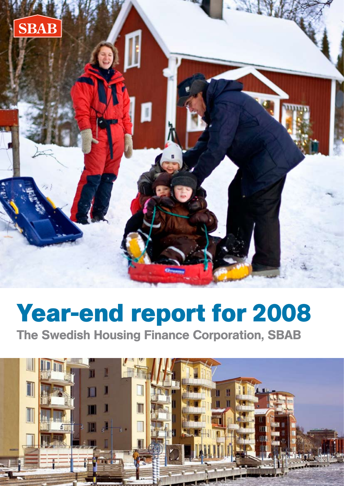

# **Year-end report for 2008**

The Swedish Housing Finance Corporation, SBAB

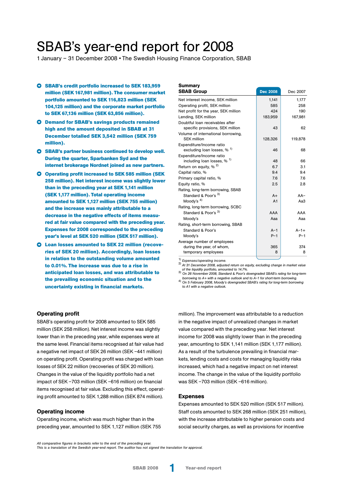### SBAB's year-end report for 2008

1 January – 31 December 2008 • The Swedish Housing Finance Corporation, SBAB

- **SBAB's credit portfolio increased to SEK 183,959 million (SEK 167,981 million). The consumer market portfolio amounted to SEK 116,823 million (SEK 104,125 million) and the corporate market portfolio to SEK 67,136 million (SEK 63,856 million).**
- **Demand for SBAB's savings products remained high and the amount deposited in SBAB at 31 December totalled SEK 3,542 million (SEK 759 million).**
- **SBAB's partner business continued to develop well. During the quarter, Sparbanken Syd and the internet brokerage Nordnet joined as new partners.**
- **Operating profit increased to SEK 585 million (SEK 258 million). Net interest income was slightly lower than in the preceding year at SEK 1,141 million (SEK 1,177 million). Total operating income amounted to SEK 1,127 million (SEK 755 million) and the increase was mainly attributable to a decrease in the negative effects of items measured at fair value compared with the preceding year. Expenses for 2008 corresponded to the preceding year's level at SEK 520 million (SEK 517 million).**
- **Loan losses amounted to SEK 22 million (recoveries of SEK 20 million). Accordingly, loan losses in relation to the outstanding volume amounted to 0.01%. The increase was due to a rise in anticipated loan losses, and was attributable to the prevailing economic situation and to the uncertainty existing in financial markets.**

### Operating profit

SBAB's operating profit for 2008 amounted to SEK 585 million (SEK 258 million). Net interest income was slightly lower than in the preceding year, while expenses were at the same level. Financial items recognised at fair value had a negative net impact of SEK 26 million (SEK –441 million) on operating profit. Operating profit was charged with loan losses of SEK 22 million (recoveries of SEK 20 million). Changes in the value of the liquidity portfolio had a net impact of SEK –703 million (SEK –616 million) on financial items recognised at fair value. Excluding this effect, operating profit amounted to SEK 1,288 million (SEK 874 million).

### Operating income

Operating income, which was much higher than in the preceding year, amounted to SEK 1,127 million (SEK 755

| Summary<br><b>SBAB Group</b>                                        | <b>Dec 2008</b> | Dec 2007  |
|---------------------------------------------------------------------|-----------------|-----------|
|                                                                     |                 |           |
| Net interest income, SEK million                                    | 1,141           | 1,177     |
| Operating profit, SEK million                                       | 585             | 258       |
| Net profit for the year, SEK million                                | 424             | 190       |
| Lending, SEK million                                                | 183,959         | 167,981   |
| Doubtful loan receivables after<br>specific provisions, SEK million | 43              | 62        |
| Volume of international borrowing,                                  |                 |           |
| SFK million                                                         | 128,326         | 119,878   |
| Expenditure/Income ratio                                            | 46              |           |
| excluding loan losses, % 1)                                         |                 | 68        |
| Expenditure/Income ratio<br>including loan losses, % 1)             | 48              | 66        |
| Return on equity, % <sup>2)</sup>                                   | 67              | 3.1       |
| Capital ratio, %                                                    | 94              | 94        |
| Primary capital ratio, %                                            | 7.6             | 7.6       |
| Equity ratio, %                                                     | 2.5             | 2.8       |
|                                                                     |                 |           |
| Rating, long-term borrowing, SBAB                                   |                 |           |
| Standard & Poor's 3)                                                | $A+$            | $AA-$     |
| Moody's $4)$                                                        | A1              | Aa3       |
| Rating, long-term borrowing, SCBC                                   |                 |           |
| Standard & Poor's 3)                                                | AAA             | AAA       |
| Moody's                                                             | Aaa             | Ааа       |
| Rating, short-term borrowing, SBAB                                  |                 |           |
| Standard & Poor's                                                   | $A-1$           | $A - 1 +$ |
| Moody's                                                             | $P-1$           | $P-1$     |
| Average number of employees                                         |                 |           |
| during the year, of whom,                                           | 365             | 374       |
| temporary employees                                                 | 8               | 8         |

1) *Expenses/operating income.* 2) *At 31 December 2008, adjusted return on equity, excluding change in market value* 

*of the liquidity portfolio, amounted to 14.7%.* 3) *On 26 November 2008, Standard & Poor's downgraded SBAB's rating for long-term* 

*borrowing to A+ with a negative outlook and to A–1 for short-term borrowing.* 4) *On 5 February 2008, Moody's downgraded SBAB's rating for long-term borrowing to A1 with a negative outlook.*

million). The improvement was attributable to a reduction in the negative impact of unrealized changes in market value compared with the preceding year. Net interest income for 2008 was slightly lower than in the preceding year, amounting to SEK 1,141 million (SEK 1,177 million). As a result of the turbulence prevailing in financial markets, lending costs and costs for managing liquidity risks increased, which had a negative impact on net interest income. The change in the value of the liquidity portfolio was SEK –703 million (SEK –616 million).

### Expenses

Expenses amounted to SEK 520 million (SEK 517 million). Staff costs amounted to SEK 268 million (SEK 251 million), with the increase attributable to higher pension costs and social security charges, as well as provisions for incentive

*All comparative figures in brackets refer to the end of the preceding year. This is a translation of the Swedish year-end report. The auditor has not signed the translation for approval.*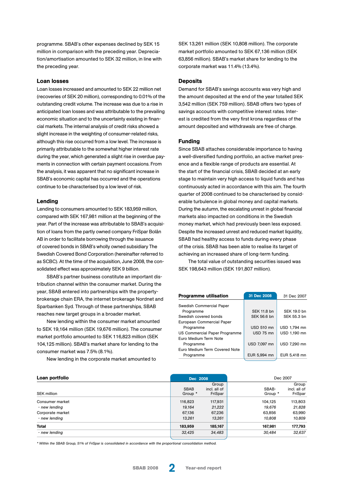programme. SBAB's other expenses declined by SEK 15 million in comparison with the preceding year. Depreciation/amortisation amounted to SEK 32 million, in line with the preceding year.

#### Loan losses

Loan losses increased and amounted to SEK 22 million net (recoveries of SEK 20 million), corresponding to 0.01% of the outstanding credit volume. The increase was due to a rise in anticipated loan losses and was attributable to the prevailing economic situation and to the uncertainty existing in financial markets. The internal analysis of credit risks showed a slight increase in the weighting of consumer-related risks, although this rise occurred from a low level. The increase is primarily attributable to the somewhat higher interest rate during the year, which generated a slight rise in overdue payments in connection with certain payment occasions. From the analysis, it was apparent that no significant increase in SBAB's economic capital has occurred and the operations continue to be characterised by a low level of risk.

#### Lending

Lending to consumers amounted to SEK 183,959 million, compared with SEK 167,981 million at the beginning of the year. Part of the increase was attributable to SBAB's acquisition of loans from the partly owned company FriSpar Bolån AB in order to facilitate borrowing through the issuance of covered bonds in SBAB's wholly owned subsidiary The Swedish Covered Bond Corporation (hereinafter referred to as SCBC). At the time of the acquisition, June 2008, the consolidated effect was approximately SEK 9 billion.

SBAB's partner business constitute an important distribution channel within the consumer market. During the year, SBAB entered into partnerships with the propertybrokerage chain ERA, the internet brokerage Nordnet and Sparbanken Syd. Through of these partnerships, SBAB reaches new target groups in a broader market.

New lending within the consumer market amounted to SEK 19,164 million (SEK 19,676 million). The consumer market portfolio amounted to SEK 116,823 million (SEK 104,125 million). SBAB's market share for lending to the consumer market was 7.5% (8.1%).

New lending in the corporate market amounted to

SEK 13,261 million (SEK 10,808 million). The corporate market portfolio amounted to SEK 67,136 million (SEK 63,856 million). SBAB's market share for lending to the corporate market was 11.4% (13.4%).

### **Deposits**

Demand for SBAB's savings accounts was very high and the amount deposited at the end of the year totalled SEK 3,542 million (SEK 759 million). SBAB offers two types of savings accounts with competitive interest rates. Interest is credited from the very first krona regardless of the amount deposited and withdrawals are free of charge.

#### Funding

Since SBAB attaches considerable importance to having a well-diversified funding portfolio, an active market presence and a flexible range of products are essential. At the start of the financial crisis, SBAB decided at an early stage to maintain very high access to liquid funds and has continuously acted in accordance with this aim. The fourth quarter of 2008 continued to be characterised by considerable turbulence in global money and capital markets. During the autumn, the escalating unrest in global financial markets also impacted on conditions in the Swedish money market, which had previously been less exposed. Despite the increased unrest and reduced market liquidity, SBAB had healthy access to funds during every phase of the crisis. SBAB has been able to realise its target of achieving an increased share of long-term funding.

The total value of outstanding securities issued was SEK 198,643 million (SEK 191,807 million).

| <b>Programme utilisation</b>  | 31 Dec 2008       | 31 Dec 2007  |
|-------------------------------|-------------------|--------------|
| Swedish Commercial Paper      |                   |              |
| Programme                     | SEK 11.8 bn       | SEK 19.0 bn  |
| Swedish covered bonds         | SEK 56.6 bn       | SEK 55.3 bn  |
| European Commercial Paper     |                   |              |
| Programme                     | <b>USD 510 mn</b> | USD 1,794 mn |
| US Commercial Paper Programme | USD 75 mn         | USD 1,190 mn |
| Furo Medium Term Note         |                   |              |
| Programme                     | USD 7.097 mn      | USD 7.290 mn |
| Euro Medium Term Covered Note |                   |              |
| Programme                     | EUR 5.994 mn      | EUR 5.418 mn |
|                               |                   |              |

| Loan portfolio                                                        | Dec 2008                              |                                       | Dec 2007                              |                                       |
|-----------------------------------------------------------------------|---------------------------------------|---------------------------------------|---------------------------------------|---------------------------------------|
| SEK million                                                           | <b>SBAB</b><br>Group *                | Group<br>incl. all of<br>FriSpar      | SBAB-<br>Group *                      | Group<br>incl. all of<br>FriSpar      |
| Consumer market<br>- new lending<br>Corporate market<br>- new lending | 116,823<br>19.164<br>67,136<br>13,261 | 117,931<br>21,222<br>67,236<br>13,261 | 104.125<br>19.676<br>63.856<br>10.808 | 113,803<br>21,828<br>63,990<br>10,809 |
| Total                                                                 | 183,959                               | 185,167                               | 167.981                               | 177,793                               |
| - new lending                                                         | 32,425                                | 34,483                                | 30.484                                | 32,637                                |

*\* Within the SBAB Group, 51% of FriSpar is consolidated in accordance with the proportional consolidation method.*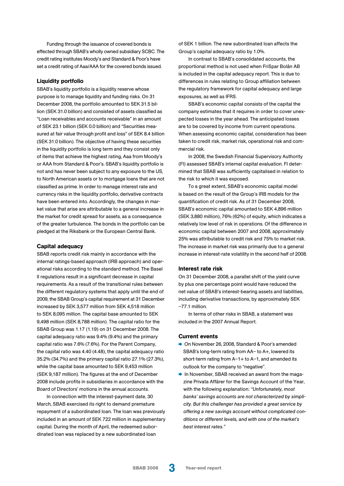Funding through the issuance of covered bonds is effected through SBAB's wholly owned subsidiary SCBC. The credit rating institutes Moody's and Standard & Poor's have set a credit rating of Aaa/AAA for the covered bonds issued.

### Liquidity portfolio

SBAB's liquidity portfolio is a liquidity reserve whose purpose is to manage liquidity and funding risks. On 31 December 2008, the portfolio amounted to SEK 31.5 billion (SEK 31.0 billion) and consisted of assets classified as "Loan receivables and accounts receivable" in an amount of SEK 23.1 billion (SEK 0.0 billion) and "Securities measured at fair value through profit and loss" of SEK 8.4 billion (SEK 31.0 billion). The objective of having these securities in the liquidity portfolio is long term and they consist only of items that achieve the highest rating, Aaa from Moody's or AAA from Standard & Poor's. SBAB's liquidity portfolio is not and has never been subject to any exposure to the US, to North American assets or to mortgage loans that are not classified as prime. In order to manage interest rate and currency risks in the liquidity portfolio, derivative contracts have been entered into. Accordingly, the changes in market value that arise are attributable to a general increase in the market for credit spread for assets, as a consequence of the greater turbulence. The bonds in the portfolio can be pledged at the Riksbank or the European Central Bank.

### Capital adequacy

SBAB reports credit risk mainly in accordance with the internal ratings-based approach (IRB approach) and operational risks according to the standard method. The Basel II regulations result in a significant decrease in capital requirements. As a result of the transitional rules between the different regulatory systems that apply until the end of 2009, the SBAB Group's capital requirement at 31 December increased by SEK 3,577 million from SEK 4,518 million to SEK 8,095 million. The capital base amounted to SEK 9,498 million (SEK 8,788 million). The capital ratio for the SBAB Group was 1.17 (1.19) on 31 December 2008. The capital adequacy ratio was 9.4% (9.4%) and the primary capital ratio was 7.6% (7.6%). For the Parent Company, the capital ratio was 4.40 (4.48), the capital adequacy ratio 35.2% (34.7%) and the primary capital ratio 27.1% (27.3%), while the capital base amounted to SEK 9,453 million (SEK 9,187 million). The figures at the end of December 2008 include profits in subsidiaries in accordance with the Board of Directors' motions in the annual accounts.

In connection with the interest-payment date, 30 March, SBAB exercised its right to demand premature repayment of a subordinated loan. The loan was previously included in an amount of SEK 722 million in supplementary capital. During the month of April, the redeemed subordinated loan was replaced by a new subordinated loan

of SEK 1 billion. The new subordinated loan affects the Group's capital adequacy ratio by 1.0%.

In contrast to SBAB's consolidated accounts, the proportional method is not used when FriSpar Bolån AB is included in the capital adequacy report. This is due to differences in rules relating to Group affiliation between the regulatory framework for capital adequacy and large exposures, as well as IFRS.

SBAB's economic capital consists of the capital the company estimates that it requires in order to cover unexpected losses in the year ahead. The anticipated losses are to be covered by income from current operations. When assessing economic capital, consideration has been taken to credit risk, market risk, operational risk and commercial risk.

In 2008, the Swedish Financial Supervisory Authority (FI) assessed SBAB's internal capital evaluation. FI determined that SBAB was sufficiently capitalised in relation to the risk to which it was exposed.

To a great extent, SBAB's economic capital model is based on the result of the Group's IRB models for the quantification of credit risk. As of 31 December 2008, SBAB's economic capital amounted to SEK 4,896 million (SEK 3,880 million), 76% (62%) of equity, which indicates a relatively low level of risk in operations. Of the difference in economic capital between 2007 and 2008, approximately 25% was attributable to credit risk and 75% to market risk. The increase in market risk was primarily due to a general increase in interest-rate volatility in the second half of 2008.

#### Interest rate risk

On 31 December 2008, a parallel shift of the yield curve by plus one percentage point would have reduced the net value of SBAB's interest-bearing assets and liabilities, including derivative transactions, by approximately SEK –77.1 million.

In terms of other risks in SBAB, a statement was included in the 2007 Annual Report.

#### Current events

- ◆ On November 26, 2008, Standard & Poor's amended SBAB's long-term rating from AA– to A+, lowered its short-term rating from A-1+ to A-1, and amended its outlook for the company to "negative".
- $\rightarrow$  In November, SBAB received an award from the magazine Privata Affärer for the Savings Account of the Year, with the following explanation: *"Unfortunately, most banks' savings accounts are not characterized by simplicity. But this challenger has provided a great service by offering a new savings account without complicated conditions or different levels, and with one of the market's best interest rates."*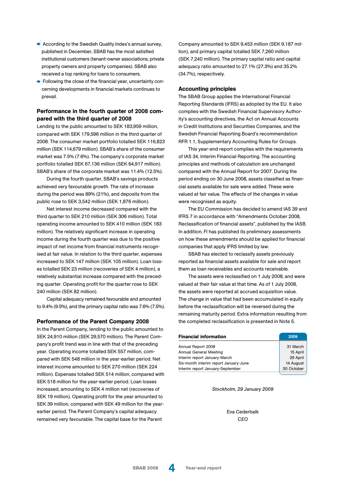- $\rightarrow$  According to the Swedish Quality Index's annual survey. published in December, SBAB has the most satisfied institutional customers (tenant-owner associations, private property owners and property companies). SBAB also received a top ranking for loans to consumers.
- $\rightarrow$  Following the close of the financial year, uncertainty concerning developments in financial markets continues to prevail.

### Performance in the fourth quarter of 2008 compared with the third quarter of 2008

Lending to the public amounted to SEK 183,959 million, compared with SEK 179,596 million in the third quarter of 2008. The consumer market portfolio totalled SEK 116,823 million (SEK 114,679 million). SBAB's share of the consumer market was 7.5% (7.6%). The company's corporate market portfolio totalled SEK 67,136 million (SEK 64,917 million). SBAB's share of the corporate market was 11.4% (12.5%).

During the fourth quarter, SBAB's savings products achieved very favourable growth. The rate of increase during the period was 89% (21%), and deposits from the public rose to SEK 3,542 million (SEK 1,876 million).

Net interest income decreased compared with the third quarter to SEK 210 million (SEK 306 million). Total operating income amounted to SEK 410 million (SEK 183 million). The relatively significant increase in operating income during the fourth quarter was due to the positive impact of net income from financial instruments recognised at fair value. In relation to the third quarter, expenses increased to SEK 147 million (SEK 105 million). Loan losses totalled SEK 23 million (recoveries of SEK 4 million), a relatively substantial increase compared with the preceding quarter. Operating profit for the quarter rose to SEK 240 million (SEK 82 million).

Capital adequacy remained favourable and amounted to 9.4% (9.5%), and the primary capital ratio was 7.6% (7.5%).

### Performance of the Parent Company 2008

In the Parent Company, lending to the public amounted to SEK 24,910 million (SEK 29,570 million). The Parent Company's profit trend was in line with that of the preceding year. Operating income totalled SEK 557 million, compared with SEK 548 million in the year-earlier period. Net interest income amounted to SEK 270 million (SEK 224 million). Expenses totalled SEK 514 million, compared with SEK 518 million for the year-earlier period. Loan losses increased, amounting to SEK 4 million net (recoveries of SEK 19 million). Operating profit for the year amounted to SEK 39 million, compared with SEK 49 million for the yearearlier period. The Parent Company's capital adequacy remained very favourable. The capital base for the Parent

Company amounted to SEK 9,453 million (SEK 9,187 million), and primary capital totalled SEK 7,260 million (SEK 7,240 million). The primary capital ratio and capital adequacy ratio amounted to 27.1% (27.3%) and 35.2% (34.7%), respectively.

### Accounting principles

The SBAB Group applies the International Financial Reporting Standards (IFRS) as adopted by the EU. It also complies with the Swedish Financial Supervisory Authority's accounting directives, the Act on Annual Accounts in Credit Institutions and Securities Companies, and the Swedish Financial Reporting Board's recommendation RFR 1.1, Supplementary Accounting Rules for Groups.

This year-end report complies with the requirements of IAS 34, Interim Financial Reporting. The accounting principles and methods of calculation are unchanged compared with the Annual Report for 2007. During the period ending on 30 June 2008, assets classified as financial assets available for sale were added. These were valued at fair value. The effects of the changes in value were recognised as equity.

The EU Commission has decided to amend IAS 39 and IFRS 7 in accordance with "Amendments October 2008, Reclassification of financial assets", published by the IASB. In addition, FI has published its preliminary assessments on how these amendments should be applied for financial companies that apply IFRS limited by law.

SBAB has elected to reclassify assets previously reported as financial assets available for sale and report them as loan receivables and accounts receivable.

The assets were reclassified on 1 July 2008, and were valued at their fair value at that time. As of 1 July 2008, the assets were reported at accrued acquisition value. The change in value that had been accumulated in equity before the reclassification will be reversed during the remaining maturity period. Extra information resulting from the completed reclassification is presented in Note 5.

| <b>Financial information</b>          | 2009       |
|---------------------------------------|------------|
| Annual Report 2008                    | 31 March   |
| <b>Annual General Meeting</b>         | 15 April   |
| Interim report January-March          | 29 April   |
| Six-month interim report January-June | 14 August  |
| Interim report January-September      | 30 October |

*Stockholm, 29 January 2009*

Eva Cederbalk *CEO*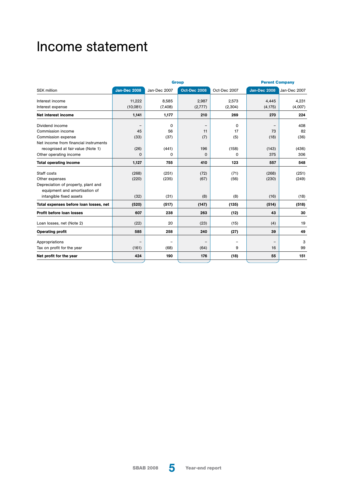### Income statement

|                                        |              |              | <b>Group</b>        |              | <b>Perent Company</b>    |              |
|----------------------------------------|--------------|--------------|---------------------|--------------|--------------------------|--------------|
| <b>SEK million</b>                     | Jan-Dec 2008 | Jan-Dec 2007 | <b>Oct-Dec 2008</b> | Oct-Dec 2007 | <b>Jan-Dec 2008</b>      | Jan-Dec 2007 |
| Interest income                        | 11,222       | 8,585        | 2,987               | 2,573        | 4,445                    | 4,231        |
| Interest expense                       | (10,081)     | (7, 408)     | (2,777)             | (2,304)      | (4, 175)                 | (4,007)      |
| Net interest income                    | 1,141        | 1.177        | 210                 | 269          | 270                      | 224          |
| Dividend income                        |              | $\Omega$     |                     | 0            |                          | 408          |
| Commission income                      | 45           | 56           | 11                  | 17           | 73                       | 82           |
| <b>Commission expense</b>              | (33)         | (37)         | (7)                 | (5)          | (18)                     | (36)         |
| Net income from financial instruments  |              |              |                     |              |                          |              |
| recognised at fair value (Note 1)      | (26)         | (441)        | 196                 | (158)        | (143)                    | (436)        |
| Other operating income                 | $\Omega$     | 0            | $\mathbf 0$         | 0            | 375                      | 306          |
| <b>Total operating income</b>          | 1,127        | 755          | 410                 | 123          | 557                      | 548          |
| Staff costs                            | (268)        | (251)        | (72)                | (71)         | (268)                    | (251)        |
| Other expenses                         | (220)        | (235)        | (67)                | (56)         | (230)                    | (249)        |
| Depreciation of property, plant and    |              |              |                     |              |                          |              |
| equipment and amortisation of          |              |              |                     |              |                          |              |
| intangible fixed assets                | (32)         | (31)         | (8)                 | (8)          | (16)                     | (18)         |
| Total expenses before loan losses, net | (520)        | (517)        | (147)               | (135)        | (514)                    | (518)        |
| Profit before loan losses              | 607          | 238          | 263                 | (12)         | 43                       | 30           |
| Loan losses, net (Note 2)              | (22)         | 20           | (23)                | (15)         | (4)                      | 19           |
| <b>Operating profit</b>                | 585          | 258          | 240                 | (27)         | 39                       | 49           |
| Appropriations                         |              |              |                     |              | $\overline{\phantom{0}}$ | 3            |
| Tax on profit for the year             | (161)        | (68)         | (64)                | 9            | 16                       | 99           |
| Net profit for the year                | 424          | 190          | 176                 | (18)         | 55                       | 151          |
|                                        |              |              |                     |              |                          |              |

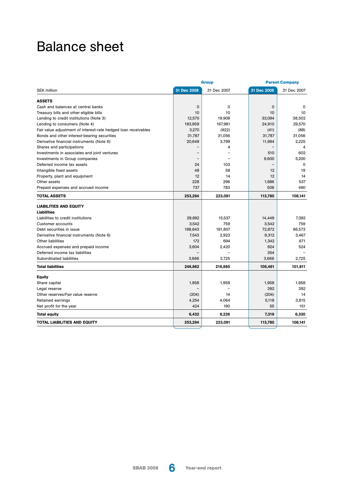## Balance sheet

|                                                                |                   | <b>Group</b>      | <b>Parent Company</b>    |                  |
|----------------------------------------------------------------|-------------------|-------------------|--------------------------|------------------|
| <b>SEK million</b>                                             | 31 Dec 2008       | 31 Dec 2007       | 31 Dec 2008              | 31 Dec 2007      |
| <b>ASSETS</b>                                                  |                   |                   |                          |                  |
| Cash and balances at central banks                             | $\mathbf 0$       | 0                 | $\mathbf 0$              | $\Omega$         |
|                                                                | 10                | 10                | 10                       | 10               |
| Treasury bills and other eligible bills                        |                   |                   |                          |                  |
| Lending to credit institutions (Note 3)                        | 12,570<br>183,959 | 19,909<br>167,981 | 33,094                   | 38,502<br>29,570 |
| Lending to consumers (Note 4)                                  |                   |                   | 24,910                   |                  |
| Fair value adjustment of interest-rate hedged loan receivables | 3,270             | (922)             | (41)                     | (88)             |
| Bonds and other interest-bearing securities                    | 31,787            | 31,056            | 31,787                   | 31,056           |
| Derivative financial instruments (Note 6)                      | 20,649            | 3,799             | 11,694                   | 2,225            |
| Shares and participations                                      |                   | 4                 | $\overline{\phantom{0}}$ | 4                |
| Investments in associates and joint ventures                   |                   |                   | 510                      | 602              |
| Investments in Group companies                                 |                   |                   | 9,600                    | 5,200            |
| Deferred income tax assets                                     | 24                | 103               |                          | $\Omega$         |
| Intangible fixed assets                                        | 48                | 58                | 12                       | 19               |
| Property, plant and equipment                                  | 12                | 14                | 12                       | 14               |
| Other assets                                                   | 228               | 296               | 1,686                    | 537              |
| Prepaid expenses and accrued income                            | 737               | 783               | 506                      | 490              |
| <b>TOTAL ASSETS</b>                                            | 253,294           | 223,091           | 113,780                  | 108,141          |
| <b>LIABILITIES AND EQUITY</b>                                  |                   |                   |                          |                  |
| <b>Liabilities</b>                                             |                   |                   |                          |                  |
| Liabilities to credit institutions                             | 29,692            | 15,537            | 14,449                   | 7,092            |
| <b>Customer accounts</b>                                       | 3.542             | 759               | 3,542                    | 759              |
| Debt securities in issue                                       | 198,643           | 191,807           | 72,872                   | 86,573           |
| Derivative financial instruments (Note 6)                      | 7.543             | 2,923             | 9,312                    | 3.467            |
| <b>Other liabilities</b>                                       | 172               | 694               | 1,342                    | 671              |
| Accrued expenses and prepaid income                            | 3,604             | 2,420             | 924                      | 524              |
| Deferred income tax liabilities                                | ۳                 | ۳                 | 354                      |                  |
| Subordinated liabilities                                       | 3,666             | 2,725             | 3,666                    | 2.725            |
| <b>Total liabilities</b>                                       | 246,862           | 216,865           | 106,461                  | 101,811          |
| <b>Equity</b>                                                  |                   |                   |                          |                  |
| Share capital                                                  | 1,958             | 1,958             | 1,958                    | 1,958            |
| Legal reserve                                                  |                   |                   | 392                      | 392              |
| Other reserves/Fair value reserve                              | (204)             | 14                | (204)                    | 14               |
| Retained earnings                                              | 4,254             | 4,064             | 5,118                    | 3.815            |
| Net profit for the year                                        | 424               | 190               | 55                       | 151              |
| <b>Total equity</b>                                            | 6,432             | 6,226             | 7,319                    | 6,330            |
| TOTAL LIABILITIES AND EQUITY                                   | 253,294           | 223,091           | 113,780                  | 108,141          |
|                                                                |                   |                   |                          |                  |

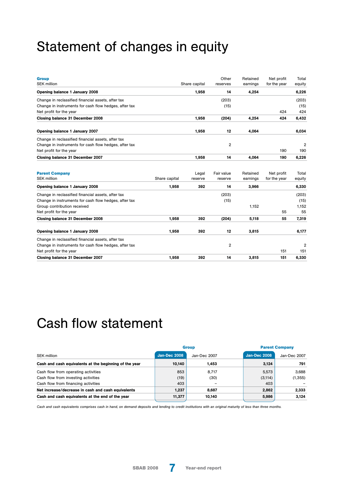# Statement of changes in equity

| <b>Group</b><br><b>SEK million</b>                    |               | Share capital | Other<br>reserves       | Retained<br>earnings | Net profit<br>for the year | Total<br>equity |
|-------------------------------------------------------|---------------|---------------|-------------------------|----------------------|----------------------------|-----------------|
| Opening balance 1 January 2008                        |               | 1,958         | 14                      | 4,254                |                            | 6,226           |
| Change in reclassified financial assets, after tax    |               |               | (203)                   |                      |                            | (203)           |
| Change in instruments for cash flow hedges, after tax |               |               | (15)                    |                      |                            | (15)            |
| Net profit for the year                               |               |               |                         |                      | 424                        | 424             |
| Closing balance 31 December 2008                      |               | 1,958         | (204)                   | 4.254                | 424                        | 6,432           |
| Opening balance 1 January 2007                        |               | 1,958         | 12                      | 4,064                |                            | 6,034           |
| Change in reclassified financial assets, after tax    |               |               |                         |                      |                            |                 |
| Change in instruments for cash flow hedges, after tax |               |               | $\overline{2}$          |                      |                            | $\overline{2}$  |
| Net profit for the year                               |               |               |                         |                      | 190                        | 190             |
| Closing balance 31 December 2007                      |               | 1.958         | 14                      | 4.064                | 190                        | 6,226           |
| <b>Parent Company</b>                                 |               | Legal         | Fair value              | Retained             | Net profit                 | Total           |
| <b>SEK million</b>                                    | Share capital | reserve       | reserve                 | earnings             | for the year               | equity          |
| Opening balance 1 January 2008                        | 1,958         | 392           | 14                      | 3,966                |                            | 6,330           |
| Change in reclassified financial assets, after tax    |               |               | (203)                   |                      |                            | (203)           |
| Change in instruments for cash flow hedges, after tax |               |               | (15)                    |                      |                            | (15)            |
| Group contribution received                           |               |               |                         | 1,152                |                            | 1,152           |
| Net profit for the year                               |               |               |                         |                      | 55                         | 55              |
| Closing balance 31 December 2008                      | 1.958         | 392           | (204)                   | 5,118                | 55                         | 7,319           |
| Opening balance 1 January 2008                        | 1,958         | 392           | 12                      | 3,815                |                            | 6,177           |
| Change in reclassified financial assets, after tax    |               |               |                         |                      |                            |                 |
| Change in instruments for cash flow hedges, after tax |               |               | $\overline{\mathbf{2}}$ |                      |                            | $\overline{2}$  |
| Net profit for the year                               |               |               |                         |                      | 151                        | 151             |
| Closing balance 31 December 2007                      | 1.958         | 392           | 14                      | 3.815                | 151                        | 6.330           |

# Cash flow statement

|                                                        |                     | <b>Group</b> |                     | <b>Parent Company</b> |  |
|--------------------------------------------------------|---------------------|--------------|---------------------|-----------------------|--|
| SEK million                                            | <b>Jan-Dec 2008</b> | Jan-Dec 2007 | <b>Jan-Dec 2008</b> | Jan-Dec 2007          |  |
| Cash and cash equivalents at the beginning of the year | 10.140              | 1.453        | 3.124               | 791                   |  |
| Cash flow from operating activities                    | 853                 | 8.717        | 5.573               | 3.688                 |  |
| Cash flow from investing activities                    | (19)                | (30)         | (3, 114)            | (1,355)               |  |
| Cash flow from financing activities                    | 403                 |              | 403                 |                       |  |
| Net increase/decrease in cash and cash equivalents     | 1.237               | 8.687        | 2.862               | 2,333                 |  |
| Cash and cash equivalents at the end of the year       | 11,377              | 10.140       | 5.986               | 3.124                 |  |

*Cash and cash equivalents comprises cash in hand, on demand deposits and lending to credit institutions with an original maturity of less than three months.*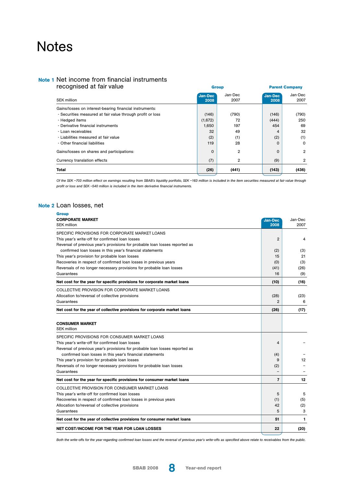### **Notes**

### Note 1 Net income from financial instruments **recognised at fair value <b>Company Group Group Parent Company**

| $1000$ g $1000$ a at ian valao                             |                 | ----            |                 | <b>E GEVILL WUILDWILD</b> |  |
|------------------------------------------------------------|-----------------|-----------------|-----------------|---------------------------|--|
| <b>SEK million</b>                                         | Jan-Dec<br>2008 | Jan-Dec<br>2007 | Jan-Dec<br>2008 | Jan-Dec<br>2007           |  |
| Gains/losses on interest-bearing financial instruments:    |                 |                 |                 |                           |  |
| - Securities measured at fair value through profit or loss | (146)           | (790)           | (146)           | (790)                     |  |
| - Hedged items                                             | (1,672)         | 72              | (444)           | 250                       |  |
| - Derivative financial instruments                         | 1,650           | 197             | 454             | 69                        |  |
| - Loan receivables                                         | 32              | 49              | 4               | 32                        |  |
| - Liabilities measured at fair value                       | (2)             | (1)             | (2)             | (1)                       |  |
| - Other financial liabilities                              | 119             | 28              | 0               | $\Omega$                  |  |
| Gains/losses on shares and participations:                 | $\Omega$        | $\overline{2}$  | 0               | $\overline{2}$            |  |
| Currency translation effects                               | (7)             | 2               | (9)             | 2                         |  |
| <b>Total</b>                                               | (26)            | (441)           | (143)           | (436)                     |  |

*Of the SEK –703 million effect on earnings resulting from SBAB's liquidity portfolio, SEK –163 million is included in the item securities measured at fair value through profit or loss and SEK –540 million is included in the item derivative financial instruments.*

### Note 2 Loan losses, net

| <b>Group</b>                                                                |                |         |
|-----------------------------------------------------------------------------|----------------|---------|
| <b>CORPORATE MARKET</b>                                                     | <b>Jan-Dec</b> | Jan-Dec |
| <b>SEK million</b>                                                          | 2008           | 2007    |
| SPECIFIC PROVISIONS FOR CORPORATE MARKET LOANS                              |                |         |
| This year's write-off for confirmed loan losses                             | $\overline{2}$ | 4       |
| Reversal of previous year's provisions for probable loan losses reported as |                |         |
| confirmed loan losses in this year's financial statements                   | (2)            | (3)     |
| This year's provision for probable loan losses                              | 15             | 21      |
| Recoveries in respect of confirmed loan losses in previous years            | (0)            | (3)     |
| Reversals of no longer necessary provisions for probable loan losses        | (41)           | (26)    |
| Guarantees                                                                  | 16             | (9)     |
| Net cost for the year for specific provisions for corporate market loans    | (10)           | (16)    |
| COLLECTIVE PROVISION FOR CORPORATE MARKET LOANS                             |                |         |
| Allocation to/reversal of collective provisions                             | (28)           | (23)    |
| Guarantees                                                                  | $\overline{2}$ | 6       |
| Net cost for the year of collective provisions for corporate market loans   | (26)           | (17)    |
|                                                                             |                |         |
| <b>CONSUMER MARKET</b>                                                      |                |         |
| <b>SEK million</b>                                                          |                |         |
| SPECIFIC PROVISIONS FOR CONSUMER MARKET LOANS                               |                |         |
| This year's write-off for confirmed loan losses                             | 4              |         |
| Reversal of previous year's provisions for probable loan losses reported as |                |         |
| confirmed loan losses in this year's financial statements                   | (4)            |         |
| This year's provision for probable loan losses                              | 9              | 12      |
| Reversals of no longer necessary provisions for probable loan losses        | (2)            |         |
| Guarantees                                                                  |                |         |
| Net cost for the year for specific provisions for consumer market loans     | $\overline{7}$ | 12      |
| COLLECTIVE PROVISION FOR CONSUMER MARKET LOANS                              |                |         |
| This year's write-off for confirmed loan losses                             | 5              | 5       |
| Recoveries in respect of confirmed loan losses in previous years            | (1)            | (5)     |
| Allocation to/reversal of collective provisions                             | 42             | (2)     |
| Guarantees                                                                  | 5              | 3       |
| Net cost for the year of collective provisions for consumer market loans    | 51             | 1       |
| NET COST/INCOME FOR THE YEAR FOR LOAN LOSSES                                | 22             | (20)    |
|                                                                             |                |         |

*Both the write-offs for the year regarding confirmed loan losses and the reversal of previous year's write-offs as specified above relate to receivables from the public.*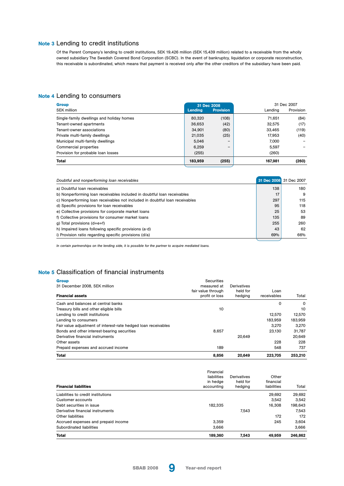### Note 3 Lending to credit institutions

Of the Parent Company's lending to credit institutions, SEK 19,426 million (SEK 15,439 million) related to a receivable from the wholly owned subsidiary The Swedish Covered Bond Corporation (SCBC). In the event of bankruptcy, liquidation or corporate reconstruction, this receivable is subordinated, which means that payment is received only after the other creditors of the subsidiary have been paid.

### Note 4 Lending to consumers

| <b>Group</b>                              | 31 Dec 2008 |                  |         | 31 Dec 2007 |
|-------------------------------------------|-------------|------------------|---------|-------------|
| SEK million                               | Lending     | <b>Provision</b> | Lendina | Provision   |
| Single-family dwellings and holiday homes | 80.320      | (108)            | 71.651  | (84)        |
| Tenant-owned apartments                   | 36.653      | (42)             | 32.575  | (17)        |
| Tenant-owner associations                 | 34.901      | (80)             | 33.465  | (119)       |
| Private multi-family dwellings            | 21.035      | (25)             | 17.953  | (40)        |
| Municipal multi-family dwellings          | 5.046       | -                | 7.000   |             |
| Commercial properties                     | 6.259       | -                | 5.597   |             |
| Provision for probable loan losses        | (255)       |                  | (260)   |             |
| <b>Total</b>                              | 183.959     | (255)            | 167.981 | (260)       |

| Doubtful and nonperforming loan receivables                                 |     | 31 Dec 2008 31 Dec 2007 |
|-----------------------------------------------------------------------------|-----|-------------------------|
| a) Doubtful loan receivables                                                | 138 | 180                     |
| b) Nonperforming loan receivables included in doubtful loan receivables     | 17  | 9                       |
| c) Nonperforming loan receivables not included in doubtful loan receivables | 297 | 115                     |
| d) Specific provisions for loan receivables                                 | 95  | 118                     |
| e) Collective provisions for corporate market loans                         | 25  | 53                      |
| f) Collective provisions for consumer market loans                          | 135 | 89                      |
| g) Total provisions $(d+e+f)$                                               | 255 | 260                     |
| h) Impaired loans following specific provisions (a-d)                       | 43  | 62                      |
| i) Provision ratio regarding specific provisions (d/a)                      | 69% | 66%                     |

*In certain partnerships on the lending side, it is possible for the partner to acquire mediated loans.*

### Note 5 Classification of financial instruments

| <b>Total</b>                                                   | 8,856                                | 20,649              | 223.705             | 253,210  |
|----------------------------------------------------------------|--------------------------------------|---------------------|---------------------|----------|
| Prepaid expenses and accrued income                            | 189                                  |                     | 548                 | 737      |
| Other assets                                                   |                                      |                     | 228                 | 228      |
| Derivative financial instruments                               |                                      | 20.649              |                     | 20,649   |
| Bonds and other interest-bearing securities                    | 8.657                                |                     | 23.130              | 31.787   |
| Fair value adjustment of interest-rate hedged loan receivables |                                      |                     | 3.270               | 3.270    |
| Lending to consumers                                           |                                      |                     | 183.959             | 183,959  |
| Lending to credit institutions                                 |                                      |                     | 12.570              | 12.570   |
| Treasury bills and other eligible bills                        | 10                                   |                     |                     | 10       |
| Cash and balances at central banks                             |                                      |                     | 0                   | $\Omega$ |
| <b>Financial assets</b>                                        | fair value through<br>profit or loss | held for<br>hedging | Loan<br>receivables | Total    |
| 31 December 2008. SEK million                                  | measured at                          | Derivatives         |                     |          |
| <b>Group</b>                                                   | Securities                           |                     |                     |          |

| <b>Financial liabilities</b>        | Financial<br>liabilities<br>in hedge<br>accounting | Derivatives<br>held for<br>hedging | Other<br>financial<br>liabilities | Total   |
|-------------------------------------|----------------------------------------------------|------------------------------------|-----------------------------------|---------|
| Liabilities to credit institutions  |                                                    |                                    | 29.692                            | 29.692  |
| Customer accounts                   |                                                    |                                    | 3.542                             | 3.542   |
| Debt securities in issue            | 182.335                                            |                                    | 16.308                            | 198,643 |
| Derivative financial instruments    |                                                    | 7.543                              |                                   | 7.543   |
| Other liabilities                   |                                                    |                                    | 172                               | 172     |
| Accrued expenses and prepaid income | 3.359                                              |                                    | 245                               | 3.604   |
| Subordinated liabilities            | 3.666                                              |                                    |                                   | 3.666   |
| <b>Total</b>                        | 189.360                                            | 7.543                              | 49.959                            | 246.862 |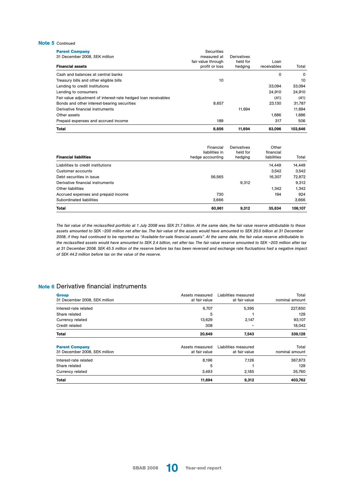#### Note 5 *Continued*

| <b>Parent Company</b><br>31 December 2008, SEK million         | Securities<br>measured at            | Derivatives         |                     |          |
|----------------------------------------------------------------|--------------------------------------|---------------------|---------------------|----------|
| <b>Financial assets</b>                                        | fair value through<br>profit or loss | held for<br>hedging | Loan<br>receivables | Total    |
| Cash and balances at central banks                             |                                      |                     | 0                   | $\Omega$ |
| Treasury bills and other eligible bills                        | 10                                   |                     |                     | 10       |
| Lending to credit institutions                                 |                                      |                     | 33.094              | 33,094   |
| Lending to consumers                                           |                                      |                     | 24.910              | 24.910   |
| Fair value adjustment of interest-rate hedged loan receivables |                                      |                     | (41)                | (41)     |
| Bonds and other interest-bearing securities                    | 8.657                                |                     | 23.130              | 31,787   |
| Derivative financial instruments                               |                                      | 11.694              |                     | 11.694   |
| Other assets                                                   |                                      |                     | 1.686               | 1,686    |
| Prepaid expenses and accrued income                            | 189                                  |                     | 317                 | 506      |
| <b>Total</b>                                                   | 8,856                                | 11.694              | 83,096              | 103.646  |

| <b>Financial liabilities</b>        | Financial<br>liabilities in<br>hedge accounting | Derivatives<br>held for<br>hedging | Other<br>financial<br>liabilities | Total   |
|-------------------------------------|-------------------------------------------------|------------------------------------|-----------------------------------|---------|
| Liabilities to credit institutions  |                                                 |                                    | 14.449                            | 14,449  |
| Customer accounts                   |                                                 |                                    | 3.542                             | 3.542   |
| Debt securities in issue            | 56.565                                          |                                    | 16.307                            | 72,872  |
| Derivative financial instruments    |                                                 | 9,312                              |                                   | 9,312   |
| Other liabilities                   |                                                 |                                    | 1.342                             | 1,342   |
| Accrued expenses and prepaid income | 730                                             |                                    | 194                               | 924     |
| Subordinated liabilities            | 3.666                                           |                                    |                                   | 3,666   |
| <b>Total</b>                        | 60.961                                          | 9.312                              | 35,834                            | 106,107 |

*The fair value of the reclassified portfolio at 1 July 2008 was SEK 21.7 billion. At the same date, the fair value reserve attributable to these assets amounted to SEK –200 million net after tax. The fair value of the assets would have amounted to SEK 20.0 billion at 31 December 2008, if they had continued to be reported as "Available-for-sale financial assets". At the same date, the fair value reserve attributable to the reclassified assets would have amounted to SEK 2.4 billion, net after tax. The fair value reserve amounted to SEK –203 million after tax at 31 December 2008. SEK 45.5 million of the reserve before tax has been reversed and exchange rate fluctuations had a negative impact of SEK 44.2 million before tax on the value of the reserve.* 

### Note 6 Derivative financial instruments

| <b>Group</b>                  | Liabilities measured<br>Assets measured |                      | Total          |
|-------------------------------|-----------------------------------------|----------------------|----------------|
| 31 December 2008, SEK million | at fair value                           | at fair value        | nominal amount |
| Interest-rate related         | 6.707                                   | 5.395                | 227,850        |
| Share related                 | 5                                       |                      | 129            |
| Currency related              | 13,629                                  | 2,147                | 93,107         |
| Credit related                | 308                                     |                      | 18,042         |
| Total                         | 20,649                                  | 7,543                | 339,128        |
| <b>Parent Company</b>         | Assets measured                         | Liabilities measured | Total          |
| 31 December 2008, SEK million | at fair value                           | at fair value        | nominal amount |
| Interest-rate related         | 8,196                                   | 7,126                | 367,873        |
| Share related                 | 5                                       |                      | 129            |
| Currency related              | 3,493                                   | 2,185                | 35,760         |
| <b>Total</b>                  | 11,694                                  | 9,312                | 403,762        |

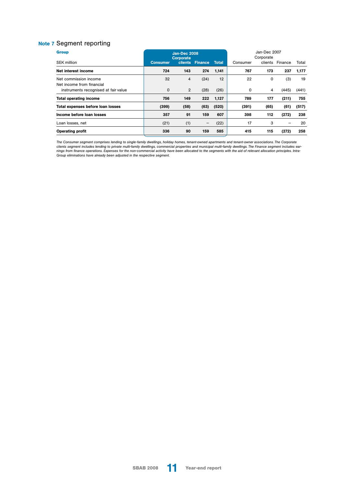### Note 7 Segment reporting

| <b>Group</b><br><b>SEK million</b>   | <b>Consumer</b> | <b>Jan-Dec 2008</b><br><b>Corporate</b><br>clients | <b>Finance</b> | <b>Total</b> | Consumer | Jan-Dec 2007<br>Corporate | clients Finance | Total |
|--------------------------------------|-----------------|----------------------------------------------------|----------------|--------------|----------|---------------------------|-----------------|-------|
| Net interest income                  | 724             | 143                                                | 274            | 1,141        | 767      | 173                       | 237             | 1,177 |
|                                      |                 |                                                    |                |              |          |                           |                 |       |
| Net commission income                | 32              | 4                                                  | (24)           | 12           | 22       | 0                         | (3)             | 19    |
| Net income from financial            |                 |                                                    |                |              |          |                           |                 |       |
| instruments recognised at fair value | $\mathbf 0$     | $\overline{2}$                                     | (28)           | (26)         | 0        | 4                         | (445)           | (441) |
|                                      |                 |                                                    |                |              |          |                           |                 |       |
| <b>Total operating income</b>        | 756             | 149                                                | 222            | 1,127        | 789      | 177                       | (211)           | 755   |
| Total expenses before loan losses    | (399)           | (58)                                               | (63)           | (520)        | (391)    | (65)                      | (61)            | (517) |
| Income before loan losses            | 357             | 91                                                 | 159            | 607          | 398      | 112                       | (272)           | 238   |
| Loan losses, net                     | (21)            | (1)                                                |                | (22)         | 17       | 3                         |                 | 20    |
| <b>Operating profit</b>              | 336             | 90                                                 | 159            | 585          | 415      | 115                       | (272)           | 258   |

*The Consumer segment comprises lending to single-family dwellings, holiday homes, tenant-owned apartments and tenant-owner associations. The Corporate*  clients segment includes lending to private multi-family dwellings, commercial properties and municipal multi-family dwellings. The Finance segment includes ear-<br>nings from finance operations. Expenses for the non-commerci

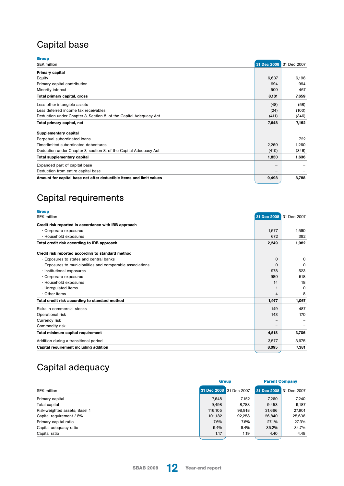### Capital base

| <b>Group</b>                                                        |                          |             |
|---------------------------------------------------------------------|--------------------------|-------------|
| <b>SEK million</b>                                                  | 31 Dec 2008              | 31 Dec 2007 |
| <b>Primary capital</b>                                              |                          |             |
| Equity                                                              | 6,637                    | 6,198       |
| Primary capital contribution                                        | 994                      | 994         |
| Minority interest                                                   | 500                      | 467         |
| Total primary capital, gross                                        | 8,131                    | 7,659       |
| Less other intangible assets                                        | (48)                     | (58)        |
| Less deferred income tax receivables                                | (24)                     | (103)       |
| Deduction under Chapter 3, Section 8, of the Capital Adequacy Act   | (411)                    | (346)       |
| Total primary capital, net                                          | 7,648                    | 7,152       |
| Supplementary capital                                               |                          |             |
| Perpetual subordinated loans                                        |                          | 722         |
| Time-limited subordinated debentures                                | 2,260                    | 1,260       |
| Deduction under Chapter 3, section 8, of the Capital Adequacy Act   | (410)                    | (346)       |
| <b>Total supplementary capital</b>                                  | 1,850                    | 1,636       |
| Expanded part of capital base                                       | $\qquad \qquad$          |             |
| Deduction from entire capital base                                  | $\overline{\phantom{m}}$ |             |
| Amount for capital base net after deductible items and limit values | 9,498                    | 8,788       |

### Capital requirements

| <b>Group</b>                                              |             |             |
|-----------------------------------------------------------|-------------|-------------|
| <b>SEK million</b>                                        | 31 Dec 2008 | 31 Dec 2007 |
| Credit risk reported in accordance with IRB approach      |             |             |
| - Corporate exposures                                     | 1,577       | 1.590       |
| - Household exposures                                     | 672         | 392         |
| Total credit risk according to IRB approach               | 2,249       | 1,982       |
| Credit risk reported according to standard method         |             |             |
| - Exposures to states and central banks                   | 0           | 0           |
| - Exposures to municipalities and comparable associations | $\Omega$    | $\Omega$    |
| - Institutional exposures                                 | 978         | 523         |
| - Corporate exposures                                     | 980         | 518         |
| - Household exposures                                     | 14          | 18          |
| - Unregulated items                                       | 1           | $\Omega$    |
| - Other items                                             | 4           | 8           |
| Total credit risk according to standard method            | 1,977       | 1,067       |
| Risks in commercial stocks                                | 149         | 487         |
| Operational risk                                          | 143         | 170         |
| Currency risk                                             |             |             |
| Commodity risk                                            | -           |             |
| Total minimum capital requirement                         | 4,518       | 3,706       |
| Addition during a transitional period                     | 3,577       | 3,675       |
| Capital requirement including addition                    | 8,095       | 7,381       |

### Capital adequacy

|                               |                         | <b>Group</b> |        | <b>Parent Company</b>   |  |
|-------------------------------|-------------------------|--------------|--------|-------------------------|--|
| <b>SEK million</b>            | 31 Dec 2008 31 Dec 2007 |              |        | 31 Dec 2008 31 Dec 2007 |  |
| Primary capital               | 7.648                   | 7.152        | 7.260  | 7.240                   |  |
| Total capital                 | 9.498                   | 8.788        | 9,453  | 9.187                   |  |
| Risk-weighted assets; Basel 1 | 116.105                 | 98,918       | 31,666 | 27.901                  |  |
| Capital requirement / 8%      | 101.182                 | 92.258       | 26.840 | 25,636                  |  |
| Primary capital ratio         | 7.6%                    | 7.6%         | 27.1%  | 27.3%                   |  |
| Capital adequacy ratio        | 9.4%                    | 9.4%         | 35.2%  | 34.7%                   |  |
| Capital ratio                 | 1.17                    | 1.19         | 4.40   | 4.48                    |  |
|                               |                         |              |        |                         |  |